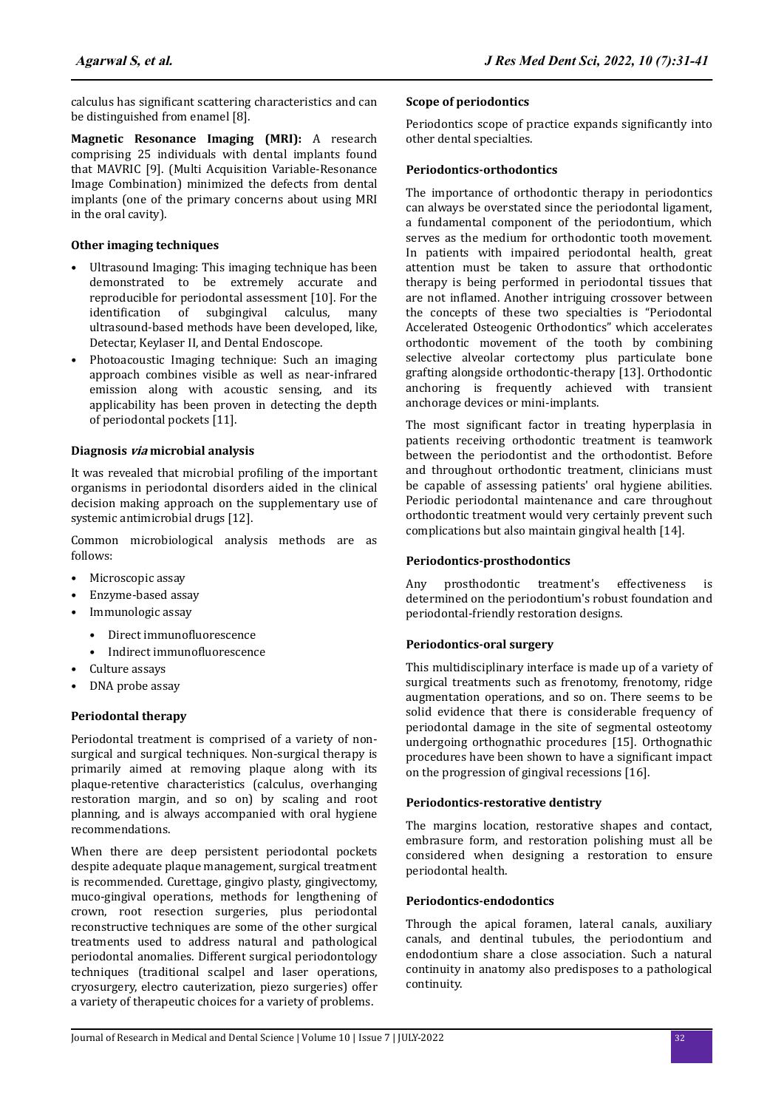calculus has significant scattering characteristics and can be distinguished from enamel [8].

**Magnetic Resonance Imaging (MRI):** A research comprising 25 individuals with dental implants found that MAVRIC [9]. (Multi Acquisition Variable-Resonance Image Combination) minimized the defects from dental implants (one of the primary concerns about using MRI in the oral cavity).

# **Other imaging techniques**

- Ultrasound Imaging: This imaging technique has been demonstrated to be extremely accurate and reproducible for periodontal assessment [10]. For the identification of subgingival calculus, many ultrasound-based methods have been developed, like, Detectar, Keylaser II, and Dental Endoscope.
- Photoacoustic Imaging technique: Such an imaging approach combines visible as well as near-infrared emission along with acoustic sensing, and its applicability has been proven in detecting the depth of periodontal pockets [11].

# **Diagnosis via microbial analysis**

It was revealed that microbial profiling of the important organisms in periodontal disorders aided in the clinical decision making approach on the supplementary use of systemic antimicrobial drugs [12].

Common microbiological analysis methods are as follows:

- Microscopic assay
- Enzyme-based assay
- Immunologic assay
	- Direct immunofluorescence
	- Indirect immunofluorescence
- Culture assays
- DNA probe assay

# **Periodontal therapy**

Periodontal treatment is comprised of a variety of nonsurgical and surgical techniques. Non-surgical therapy is primarily aimed at removing plaque along with its plaque-retentive characteristics (calculus, overhanging restoration margin, and so on) by scaling and root planning, and is always accompanied with oral hygiene recommendations.

When there are deep persistent periodontal pockets despite adequate plaque management, surgical treatment is recommended. Curettage, gingivo plasty, gingivectomy, muco-gingival operations, methods for lengthening of crown, root resection surgeries, plus periodontal reconstructive techniques are some of the other surgical treatments used to address natural and pathological periodontal anomalies. Different surgical periodontology techniques (traditional scalpel and laser operations, cryosurgery, electro cauterization, piezo surgeries) offer a variety of therapeutic choices for a variety of problems.

#### **Scope of periodontics**

Periodontics scope of practice expands significantly into other dental specialties.

# **Periodontics-orthodontics**

The importance of orthodontic therapy in periodontics can always be overstated since the periodontal ligament, a fundamental component of the periodontium, which serves as the medium for orthodontic tooth movement. In patients with impaired periodontal health, great attention must be taken to assure that orthodontic therapy is being performed in periodontal tissues that are not inflamed. Another intriguing crossover between the concepts of these two specialties is "Periodontal Accelerated Osteogenic Orthodontics" which accelerates orthodontic movement of the tooth by combining selective alveolar cortectomy plus particulate bone grafting alongside orthodontic-therapy [13]. Orthodontic anchoring is frequently achieved with transient anchorage devices or mini-implants.

The most significant factor in treating hyperplasia in patients receiving orthodontic treatment is teamwork between the periodontist and the orthodontist. Before and throughout orthodontic treatment, clinicians must be capable of assessing patients' oral hygiene abilities. Periodic periodontal maintenance and care throughout orthodontic treatment would very certainly prevent such complications but also maintain gingival health [14].

# **Periodontics-prosthodontics**

Any prosthodontic treatment's effectiveness is determined on the periodontium's robust foundation and periodontal-friendly restoration designs.

# **Periodontics-oral surgery**

This multidisciplinary interface is made up of a variety of surgical treatments such as frenotomy, frenotomy, ridge augmentation operations, and so on. There seems to be solid evidence that there is considerable frequency of periodontal damage in the site of segmental osteotomy undergoing orthognathic procedures [15]. Orthognathic procedures have been shown to have a significant impact on the progression of gingival recessions [16].

# **Periodontics-restorative dentistry**

The margins location, restorative shapes and contact, embrasure form, and restoration polishing must all be considered when designing a restoration to ensure periodontal health.

# **Periodontics-endodontics**

Through the apical foramen, lateral canals, auxiliary canals, and dentinal tubules, the periodontium and endodontium share a close association. Such a natural continuity in anatomy also predisposes to a pathological continuity.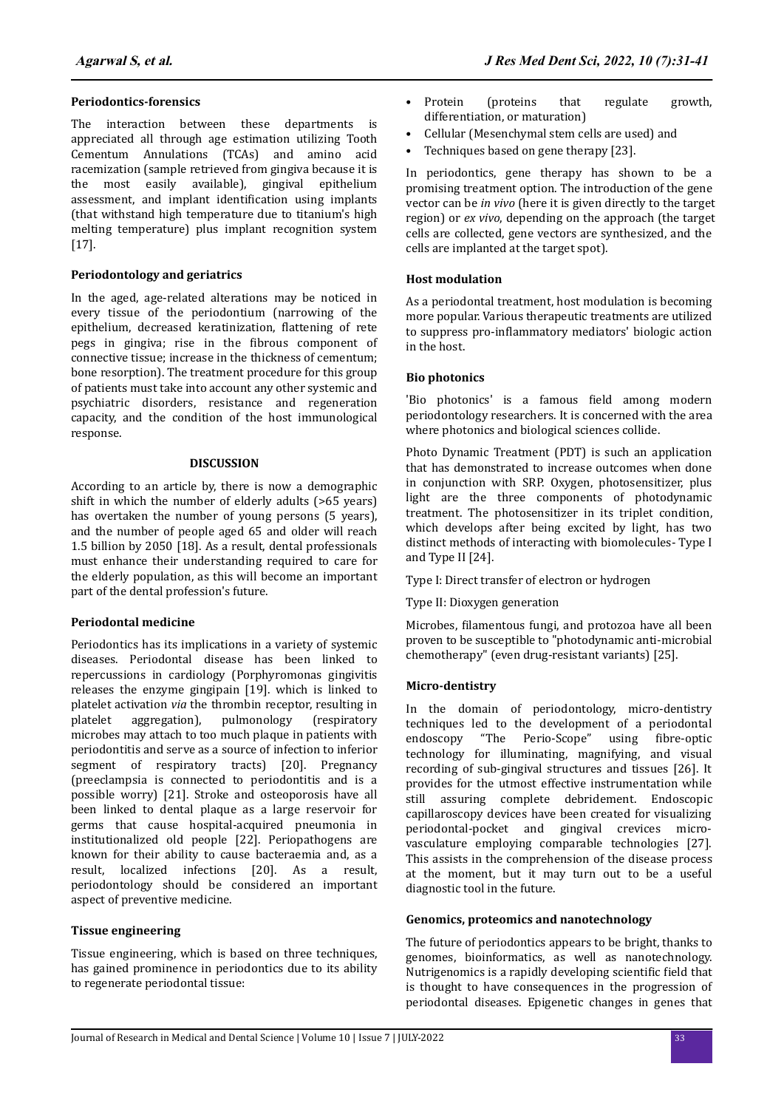#### **Periodontics-forensics**

The interaction between these departments is appreciated all through age estimation utilizing Tooth Cementum Annulations (TCAs) and amino acid racemization (sample retrieved from gingiva because it is the most easily available), gingival epithelium assessment, and implant identification using implants (that withstand high temperature due to titanium's high melting temperature) plus implant recognition system [17].

# **Periodontology and geriatrics**

In the aged, age-related alterations may be noticed in every tissue of the periodontium (narrowing of the epithelium, decreased keratinization, flattening of rete pegs in gingiva; rise in the fibrous component of connective tissue; increase in the thickness of cementum; bone resorption). The treatment procedure for this group of patients must take into account any other systemic and psychiatric disorders, resistance and regeneration capacity, and the condition of the host immunological response.

#### **DISCUSSION**

According to an article by, there is now a demographic shift in which the number of elderly adults (>65 years) has overtaken the number of young persons (5 years), and the number of people aged 65 and older will reach 1.5 billion by 2050 [18]. As a result, dental professionals must enhance their understanding required to care for the elderly population, as this will become an important part of the dental profession's future.

# **Periodontal medicine**

Periodontics has its implications in a variety of systemic diseases. Periodontal disease has been linked to repercussions in cardiology (Porphyromonas gingivitis releases the enzyme gingipain [19]. which is linked to platelet activation *via* the thrombin receptor, resulting in platelet aggregation), pulmonology (respiratory microbes may attach to too much plaque in patients with periodontitis and serve as a source of infection to inferior segment of respiratory tracts) [20]. Pregnancy (preeclampsia is connected to periodontitis and is a possible worry) [21]. Stroke and osteoporosis have all been linked to dental plaque as a large reservoir for germs that cause hospital-acquired pneumonia in institutionalized old people [22]. Periopathogens are known for their ability to cause bacteraemia and, as a result, localized infections [20]. As a result, periodontology should be considered an important aspect of preventive medicine.

# **Tissue engineering**

Tissue engineering, which is based on three techniques, has gained prominence in periodontics due to its ability to regenerate periodontal tissue:

- Cellular (Mesenchymal stem cells are used) and
- Techniques based on gene therapy [23].

In periodontics, gene therapy has shown to be a promising treatment option. The introduction of the gene vector can be *in vivo* (here it is given directly to the target region) or *ex vivo*, depending on the approach (the target cells are collected, gene vectors are synthesized, and the cells are implanted at the target spot).

#### **Host modulation**

As a periodontal treatment, host modulation is becoming more popular. Various therapeutic treatments are utilized to suppress pro-inflammatory mediators' biologic action in the host.

#### **Bio photonics**

'Bio photonics' is a famous field among modern periodontology researchers. It is concerned with the area where photonics and biological sciences collide.

Photo Dynamic Treatment (PDT) is such an application that has demonstrated to increase outcomes when done in conjunction with SRP. Oxygen, photosensitizer, plus light are the three components of photodynamic treatment. The photosensitizer in its triplet condition, which develops after being excited by light, has two distinct methods of interacting with biomolecules- Type I and Type II [24].

Type I: Direct transfer of electron or hydrogen

Type II: Dioxygen generation

Microbes, filamentous fungi, and protozoa have all been proven to be susceptible to "photodynamic anti-microbial chemotherapy" (even drug-resistant variants) [25].

#### **Micro-dentistry**

In the domain of periodontology, micro-dentistry techniques led to the development of a periodontal endoscopy "The Perio-Scope" using fibre-optic technology for illuminating, magnifying, and visual recording of sub-gingival structures and tissues [26]. It provides for the utmost effective instrumentation while still assuring complete debridement. Endoscopic capillaroscopy devices have been created for visualizing periodontal-pocket and gingival crevices microvasculature employing comparable technologies [27]. This assists in the comprehension of the disease process at the moment, but it may turn out to be a useful diagnostic tool in the future.

#### **Genomics, proteomics and nanotechnology**

The future of periodontics appears to be bright, thanks to genomes, bioinformatics, as well as nanotechnology. Nutrigenomics is a rapidly developing scientific field that is thought to have consequences in the progression of periodontal diseases. Epigenetic changes in genes that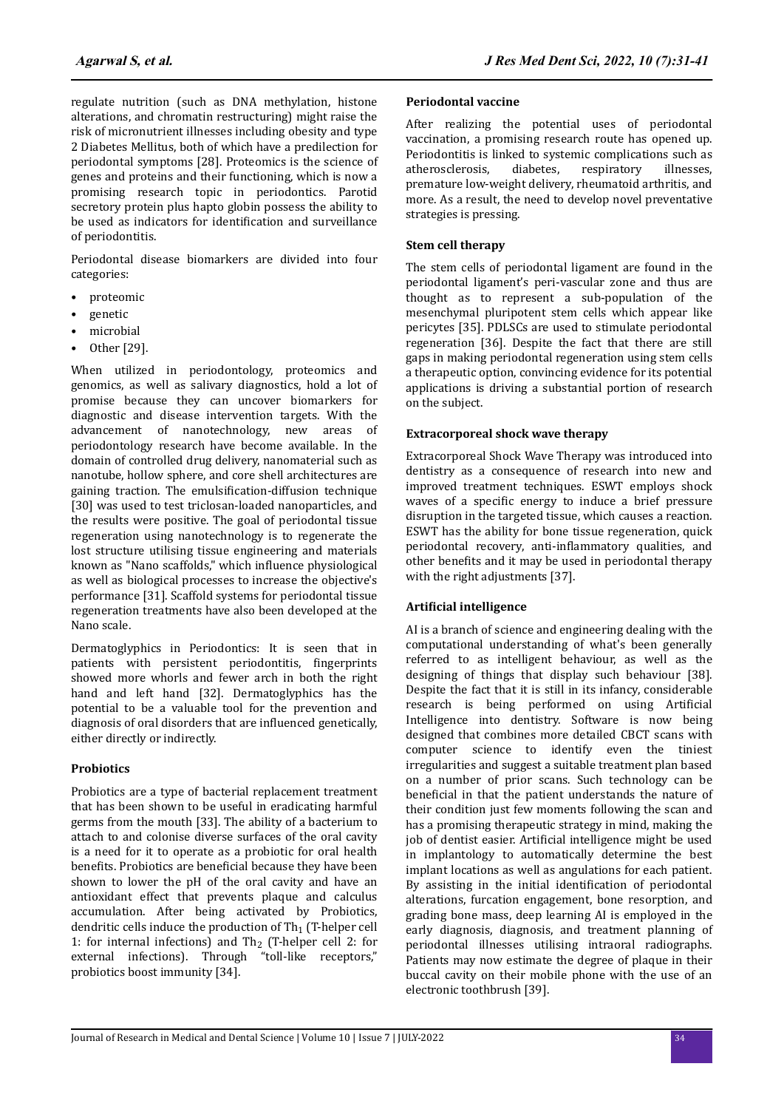regulate nutrition (such as DNA methylation, histone alterations, and chromatin restructuring) might raise the risk of micronutrient illnesses including obesity and type 2 Diabetes Mellitus, both of which have a predilection for periodontal symptoms [28]. Proteomics is the science of genes and proteins and their functioning, which is now a promising research topic in periodontics. Parotid secretory protein plus hapto globin possess the ability to be used as indicators for identification and surveillance of periodontitis.

Periodontal disease biomarkers are divided into four categories:

- proteomic
- genetic
- microbial
- Other [29].

When utilized in periodontology, proteomics and genomics, as well as salivary diagnostics, hold a lot of promise because they can uncover biomarkers for diagnostic and disease intervention targets. With the advancement of nanotechnology, new areas of periodontology research have become available. In the domain of controlled drug delivery, nanomaterial such as nanotube, hollow sphere, and core shell architectures are gaining traction. The emulsification-diffusion technique [30] was used to test triclosan-loaded nanoparticles, and the results were positive. The goal of periodontal tissue regeneration using nanotechnology is to regenerate the lost structure utilising tissue engineering and materials known as "Nano scaffolds," which influence physiological as well as biological processes to increase the objective's performance [31]. Scaffold systems for periodontal tissue regeneration treatments have also been developed at the Nano scale.

Dermatoglyphics in Periodontics: It is seen that in patients with persistent periodontitis, fingerprints showed more whorls and fewer arch in both the right hand and left hand [32]. Dermatoglyphics has the potential to be a valuable tool for the prevention and diagnosis of oral disorders that are influenced genetically, either directly or indirectly.

# **Probiotics**

Probiotics are a type of bacterial replacement treatment that has been shown to be useful in eradicating harmful germs from the mouth [33]. The ability of a bacterium to attach to and colonise diverse surfaces of the oral cavity is a need for it to operate as a probiotic for oral health benefits. Probiotics are beneficial because they have been shown to lower the pH of the oral cavity and have an antioxidant effect that prevents plaque and calculus accumulation. After being activated by Probiotics, dendritic cells induce the production of  $Th<sub>1</sub>$  (T-helper cell 1: for internal infections) and  $Th_2$  (T-helper cell 2: for external infections). Through "toll-like receptors," probiotics boost immunity [34].

#### **Periodontal vaccine**

After realizing the potential uses of periodontal vaccination, a promising research route has opened up. Periodontitis is linked to systemic complications such as atherosclerosis, diabetes, respiratory illnesses, premature low-weight delivery, rheumatoid arthritis, and more. As a result, the need to develop novel preventative strategies is pressing.

### **Stem cell therapy**

The stem cells of periodontal ligament are found in the periodontal ligament's peri-vascular zone and thus are thought as to represent a sub-population of the mesenchymal pluripotent stem cells which appear like pericytes [35]. PDLSCs are used to stimulate periodontal regeneration [36]. Despite the fact that there are still gaps in making periodontal regeneration using stem cells a therapeutic option, convincing evidence for its potential applications is driving a substantial portion of research on the subject.

#### **Extracorporeal shock wave therapy**

Extracorporeal Shock Wave Therapy was introduced into dentistry as a consequence of research into new and improved treatment techniques. ESWT employs shock waves of a specific energy to induce a brief pressure disruption in the targeted tissue, which causes a reaction. ESWT has the ability for bone tissue regeneration, quick periodontal recovery, anti-inflammatory qualities, and other benefits and it may be used in periodontal therapy with the right adjustments [37].

# **ϐ intelligence**

AI is a branch of science and engineering dealing with the computational understanding of what's been generally referred to as intelligent behaviour, as well as the designing of things that display such behaviour [38]. Despite the fact that it is still in its infancy, considerable research is being performed on using Artificial Intelligence into dentistry. Software is now being designed that combines more detailed CBCT scans with computer science to identify even the tiniest irregularities and suggest a suitable treatment plan based on a number of prior scans. Such technology can be beneficial in that the patient understands the nature of their condition just few moments following the scan and has a promising therapeutic strategy in mind, making the job of dentist easier. Artificial intelligence might be used in implantology to automatically determine the best implant locations as well as angulations for each patient. By assisting in the initial identification of periodontal alterations, furcation engagement, bone resorption, and grading bone mass, deep learning AI is employed in the early diagnosis, diagnosis, and treatment planning of periodontal illnesses utilising intraoral radiographs. Patients may now estimate the degree of plaque in their buccal cavity on their mobile phone with the use of an electronic toothbrush [39].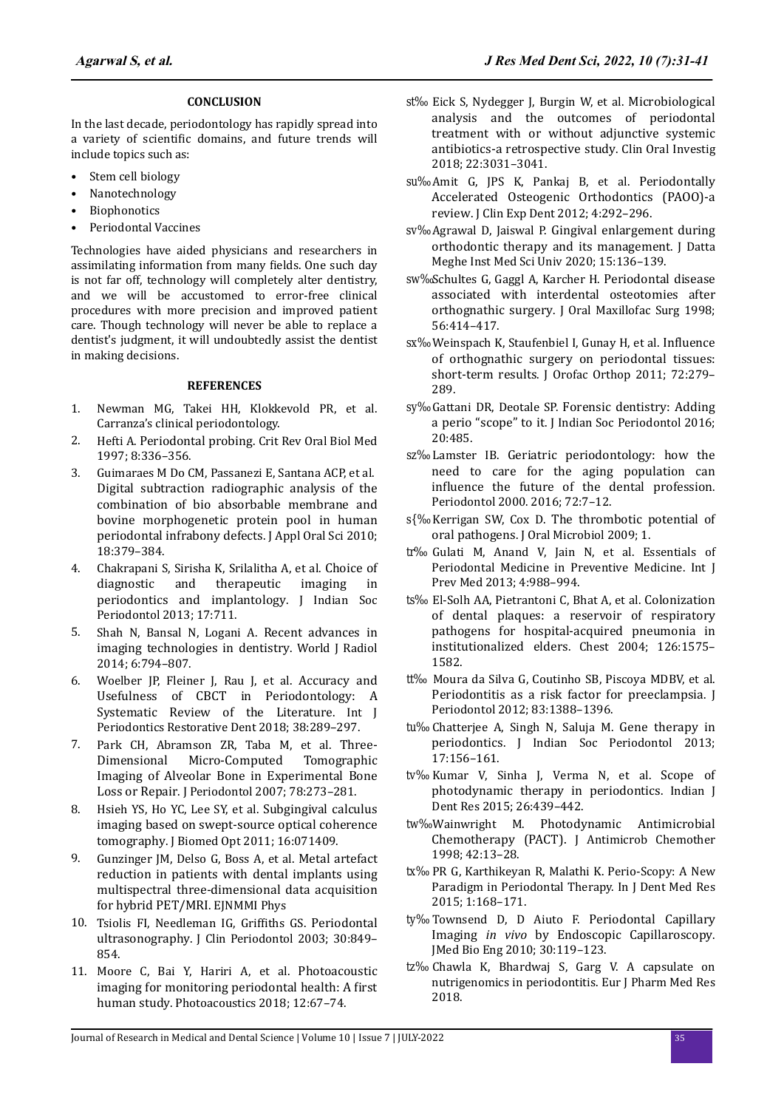#### **CONCLUSION**

In the last decade, periodontology has rapidly spread into a variety of scientific domains, and future trends will include topics such as:

- Stem cell biology
- Nanotechnology
- **Biophonotics**
- Periodontal Vaccines

Technologies have aided physicians and researchers in assimilating information from many fields. One such day is not far off, technology will completely alter dentistry, and we will be accustomed to error-free clinical procedures with more precision and improved patient care. Though technology will never be able to replace a dentist's judgment, it will undoubtedly assist the dentist in making decisions.

### **REFERENCES**

- 1. Newman MG, Takei HH, Klokkevold PR, et al. Carranza's clinical periodontology.
- 2. Hefti A. [Periodontal probing](https://journals.sagepub.com/doi/10.1177/10454411970080030601). Crit Rev Oral Biol Med 1997; 8:336–356.
- 3. Guimaraes M Do CM, Passanezi E, Santana ACP, et al. [Digital subtraction radiographic analysis of the](https://www.scielo.br/j/jaos/a/ZQDSPQNkhC459QhXtKT3H6f/?lang=en) [combination of bio absorbable membrane and](https://www.scielo.br/j/jaos/a/ZQDSPQNkhC459QhXtKT3H6f/?lang=en) [bovine morphogenetic protein pool in human](https://www.scielo.br/j/jaos/a/ZQDSPQNkhC459QhXtKT3H6f/?lang=en) [periodontal infrabony defects](https://www.scielo.br/j/jaos/a/ZQDSPQNkhC459QhXtKT3H6f/?lang=en). J Appl Oral Sci 2010; 18:379–384.
- 4. Chakrapani S, Sirisha K, Srilalitha A, et al. [Choice of](https://www.jisponline.com/article.asp?issn=0972-124X;year=2013;volume=17;issue=6;spage=711;epage=718;aulast=Chakrapani) [diagnostic and therapeutic imaging in](https://www.jisponline.com/article.asp?issn=0972-124X;year=2013;volume=17;issue=6;spage=711;epage=718;aulast=Chakrapani) [periodontics and implantology](https://www.jisponline.com/article.asp?issn=0972-124X;year=2013;volume=17;issue=6;spage=711;epage=718;aulast=Chakrapani). J Indian Soc Periodontol 2013; 17:711.
- 5. Shah N, Bansal N, Logani A. [Recent advances in](https://www.wjgnet.com/1949-8470/full/v6/i10/794.htm) [imaging technologies in dentistry](https://www.wjgnet.com/1949-8470/full/v6/i10/794.htm). World J Radiol 2014; 6:794–807.
- 6. Woelber JP, Fleiner J, Rau J, et al. [Accuracy and](http://quintpub.com/journals/prd/abstract.php?iss2_id=1513&article_id=18146) [Usefulness of CBCT in Periodontology: A](http://quintpub.com/journals/prd/abstract.php?iss2_id=1513&article_id=18146) [Systematic Review of the Literature](http://quintpub.com/journals/prd/abstract.php?iss2_id=1513&article_id=18146). Int J Periodontics Restorative Dent 2018; 38:289–297.
- 7. Park CH, Abramson ZR, Taba M, et al. [Three-](https://aap.onlinelibrary.wiley.com/doi/abs/10.1902/jop.2007.060252)[Dimensional Micro-Computed Tomographic](https://aap.onlinelibrary.wiley.com/doi/abs/10.1902/jop.2007.060252) [Imaging of Alveolar Bone in Experimental Bone](https://aap.onlinelibrary.wiley.com/doi/abs/10.1902/jop.2007.060252) [Loss or Repair](https://aap.onlinelibrary.wiley.com/doi/abs/10.1902/jop.2007.060252). J Periodontol 2007; 78:273–281.
- 8. Hsieh YS, Ho YC, Lee SY, et al. [Subgingival calculus](https://www.spiedigitallibrary.org/journals/journal-of-biomedical-optics/volume-16/issue-07/071409/Subgingival-calculus-imaging-based-on-swept-source-optical-coherence-tomography/10.1117/1.3602851.full?SSO=1) [imaging based on swept-source optical coherence](https://www.spiedigitallibrary.org/journals/journal-of-biomedical-optics/volume-16/issue-07/071409/Subgingival-calculus-imaging-based-on-swept-source-optical-coherence-tomography/10.1117/1.3602851.full?SSO=1) [tomography](https://www.spiedigitallibrary.org/journals/journal-of-biomedical-optics/volume-16/issue-07/071409/Subgingival-calculus-imaging-based-on-swept-source-optical-coherence-tomography/10.1117/1.3602851.full?SSO=1). J Biomed Opt 2011; 16:071409.
- 9. Gunzinger JM, Delso G, Boss A, et al. [Metal artefact](https://ejnmmiphys.springeropen.com/articles/10.1186/s40658-014-0102-z) [reduction in patients with dental implants using](https://ejnmmiphys.springeropen.com/articles/10.1186/s40658-014-0102-z) [multispectral three-dimensional data acquisition](https://ejnmmiphys.springeropen.com/articles/10.1186/s40658-014-0102-z) [for hybrid PET/MRI](https://ejnmmiphys.springeropen.com/articles/10.1186/s40658-014-0102-z). EJNMMI Phys
- 10. Tsiolis FI, Needleman IG, Griffiths GS. [Periodontal](https://onlinelibrary.wiley.com/doi/abs/10.1034/j.1600-051X.2003.00380.x) [ultrasonography](https://onlinelibrary.wiley.com/doi/abs/10.1034/j.1600-051X.2003.00380.x). J Clin Periodontol 2003; 30:849– 854.
- 11. Moore C, Bai Y, Hariri A, et al. [Photoacoustic](https://www.sciencedirect.com/science/article/pii/S2213597918300399?via%3Dihub) [imaging for monitoring periodontal health: A](https://www.sciencedirect.com/science/article/pii/S2213597918300399?via%3Dihub) first [human study](https://www.sciencedirect.com/science/article/pii/S2213597918300399?via%3Dihub). Photoacoustics 2018; 12:67–74.
- 12. Eick S, Nydegger J, Burgin W, et al. [Microbiological](https://link.springer.com/article/10.1007/s00784-018-2392-3) [analysis and the outcomes of periodontal](https://link.springer.com/article/10.1007/s00784-018-2392-3) [treatment with or without adjunctive systemic](https://link.springer.com/article/10.1007/s00784-018-2392-3) [antibiotics-a retrospective study](https://link.springer.com/article/10.1007/s00784-018-2392-3). Clin Oral Investig 2018; 22:3031–3041.
- 13. Amit G, JPS K, Pankaj B, et al. [Periodontally](http://www.medicinaoral.com/odo/volumenes/v4i5/jcedv4i5p292.pdf) [Accelerated Osteogenic Orthodontics \(PAOO\)-a](http://www.medicinaoral.com/odo/volumenes/v4i5/jcedv4i5p292.pdf) [review](http://www.medicinaoral.com/odo/volumenes/v4i5/jcedv4i5p292.pdf). J Clin Exp Dent 2012; 4:292–296.
- 14. Agrawal D, Jaiswal P. [Gingival enlargement during](http://www.journaldmims.com/showbackissue.asp?issn=0974-3901;year=2020;volume=15;issue=1) [orthodontic therapy and its management](http://www.journaldmims.com/showbackissue.asp?issn=0974-3901;year=2020;volume=15;issue=1). J Datta Meghe Inst Med Sci Univ 2020; 15:136–139.
- 15. Schultes G, Gaggl A, Karcher H. [Periodontal disease](https://linkinghub.elsevier.com/retrieve/pii/S0278239198907030) [associated with interdental osteotomies after](https://linkinghub.elsevier.com/retrieve/pii/S0278239198907030) [orthognathic surgery](https://linkinghub.elsevier.com/retrieve/pii/S0278239198907030). J Oral Maxillofac Surg 1998; 56:414–417.
- 16. Weinspach K, Staufenbiel I, Gunay H, et al. Influence [of orthognathic surgery on periodontal tissues:](https://link.springer.com/article/10.1007/s00056-011-0033-4) [short-term results](https://link.springer.com/article/10.1007/s00056-011-0033-4). J Orofac Orthop 2011; 72:279-289.
- 17. Gattani DR, Deotale SP. [Forensic dentistry: Adding](https://www.jisponline.com/article.asp?issn=0972-124X;year=2016;volume=20;issue=5;spage=485;epage=487;aulast=Gattani) [a perio "scope" to it](https://www.jisponline.com/article.asp?issn=0972-124X;year=2016;volume=20;issue=5;spage=485;epage=487;aulast=Gattani). J Indian Soc Periodontol 2016; 20:485.
- 18. Lamster IB. [Geriatric periodontology: how the](https://onlinelibrary.wiley.com/doi/10.1111/prd.12157) [need to care for the aging population can](https://onlinelibrary.wiley.com/doi/10.1111/prd.12157) influence [the future of the dental profession](https://onlinelibrary.wiley.com/doi/10.1111/prd.12157). Periodontol 2000. 2016; 72:7–12.
- 19. Kerrigan SW, Cox D. [The thrombotic potential of](https://www.tandfonline.com/doi/full/10.3402/jom.v1i0.1999) [oral pathogens](https://www.tandfonline.com/doi/full/10.3402/jom.v1i0.1999). J Oral Microbiol 2009; 1.
- 20. Gulati M, Anand V, Jain N, et al. Essentials of Periodontal Medicine in Preventive Medicine. Int J Prev Med 2013; 4:988–994.
- 21. El-Solh AA, Pietrantoni C, Bhat A, et al. [Colonization](https://www.sciencedirect.com/science/article/abs/pii/S0012369216468005?via%3Dihub) [of dental plaques: a reservoir of respiratory](https://www.sciencedirect.com/science/article/abs/pii/S0012369216468005?via%3Dihub) [pathogens for hospital-acquired pneumonia in](https://www.sciencedirect.com/science/article/abs/pii/S0012369216468005?via%3Dihub) [institutionalized elders](https://www.sciencedirect.com/science/article/abs/pii/S0012369216468005?via%3Dihub). Chest 2004; 126:1575– 1582.
- 22. Moura da Silva G, Coutinho SB, Piscoya MDBV, et al. [Periodontitis as a risk factor for preeclampsia](https://aap.onlinelibrary.wiley.com/doi/abs/10.1902/jop.2012.110256). J Periodontol 2012; 83:1388–1396.
- 23. Chatterjee A, Singh N, Saluja M. [Gene therapy in](https://www.jisponline.com/article.asp?issn=0972-124X;year=2013;volume=17;issue=2;spage=156;epage=161;aulast=Chatterjee) [periodontics](https://www.jisponline.com/article.asp?issn=0972-124X;year=2013;volume=17;issue=2;spage=156;epage=161;aulast=Chatterjee). J Indian Soc Periodontol 2013; 17:156–161.
- 24. Kumar V, Sinha J, Verma N, et al. [Scope of](https://www.ijdr.in/article.asp?issn=0970-9290;year=2015;volume=26;issue=4;spage=439;epage=442;aulast=Kumar) [photodynamic therapy in periodontics](https://www.ijdr.in/article.asp?issn=0970-9290;year=2015;volume=26;issue=4;spage=439;epage=442;aulast=Kumar). Indian J Dent Res 2015; 26:439–442.
- 25. Wainwright M. [Photodynamic Antimicrobial](https://academic.oup.com/jac/article/42/1/13/862161?login=false) [Chemotherapy \(PACT\).](https://academic.oup.com/jac/article/42/1/13/862161?login=false) J Antimicrob Chemother 1998; 42:13–28.
- 26. PR G, Karthikeyan R, Malathi K. Perio-Scopy: A New Paradigm in Periodontal Therapy. In J Dent Med Res 2015; 1:168–171.
- 27. Townsend D, D Aiuto F. [Periodontal Capillary](https://www.airitilibrary.com/Publication/alDetailedMesh?docid=16090985-201004-201005050018-201005050018-119-123) Imaging *in vivo* [by Endoscopic Capillaroscopy](https://www.airitilibrary.com/Publication/alDetailedMesh?docid=16090985-201004-201005050018-201005050018-119-123). J Med Bio Eng 2010; 30:119–123.
- 28. Chawla K, Bhardwaj S, Garg V. A capsulate on nutrigenomics in periodontitis. Eur J Pharm Med Res 2018.